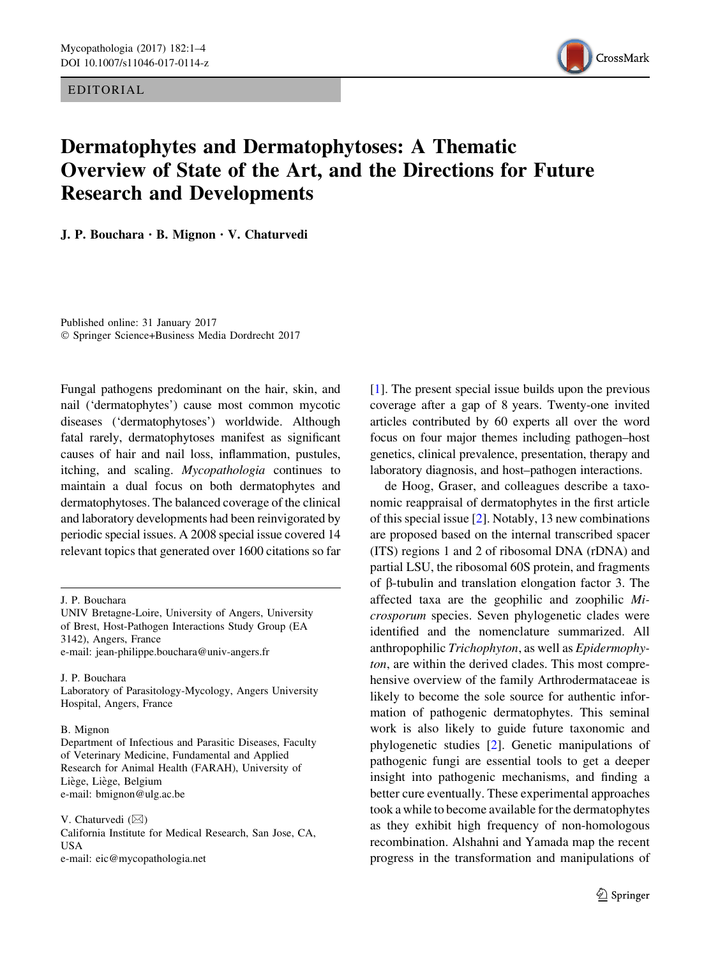EDITORIAL



## Dermatophytes and Dermatophytoses: A Thematic Overview of State of the Art, and the Directions for Future Research and Developments

J. P. Bouchara · B. Mignon · V. Chaturvedi

Published online: 31 January 2017 - Springer Science+Business Media Dordrecht 2017

Fungal pathogens predominant on the hair, skin, and nail ('dermatophytes') cause most common mycotic diseases ('dermatophytoses') worldwide. Although fatal rarely, dermatophytoses manifest as significant causes of hair and nail loss, inflammation, pustules, itching, and scaling. Mycopathologia continues to maintain a dual focus on both dermatophytes and dermatophytoses. The balanced coverage of the clinical and laboratory developments had been reinvigorated by periodic special issues. A 2008 special issue covered 14 relevant topics that generated over 1600 citations so far

UNIV Bretagne-Loire, University of Angers, University of Brest, Host-Pathogen Interactions Study Group (EA 3142), Angers, France e-mail: jean-philippe.bouchara@univ-angers.fr

J. P. Bouchara

Laboratory of Parasitology-Mycology, Angers University Hospital, Angers, France

## B. Mignon

Department of Infectious and Parasitic Diseases, Faculty of Veterinary Medicine, Fundamental and Applied Research for Animal Health (FARAH), University of Liège, Liège, Belgium e-mail: bmignon@ulg.ac.be

V. Chaturvedi  $(\boxtimes)$ 

California Institute for Medical Research, San Jose, CA, USA e-mail: eic@mycopathologia.net

[\[1\]](#page-3-0). The present special issue builds upon the previous coverage after a gap of 8 years. Twenty-one invited articles contributed by 60 experts all over the word focus on four major themes including pathogen–host genetics, clinical prevalence, presentation, therapy and laboratory diagnosis, and host–pathogen interactions.

de Hoog, Graser, and colleagues describe a taxonomic reappraisal of dermatophytes in the first article of this special issue [[2\]](#page-3-0). Notably, 13 new combinations are proposed based on the internal transcribed spacer (ITS) regions 1 and 2 of ribosomal DNA (rDNA) and partial LSU, the ribosomal 60S protein, and fragments of  $\beta$ -tubulin and translation elongation factor 3. The affected taxa are the geophilic and zoophilic Microsporum species. Seven phylogenetic clades were identified and the nomenclature summarized. All anthropophilic Trichophyton, as well as Epidermophyton, are within the derived clades. This most comprehensive overview of the family Arthrodermataceae is likely to become the sole source for authentic information of pathogenic dermatophytes. This seminal work is also likely to guide future taxonomic and phylogenetic studies [[2\]](#page-3-0). Genetic manipulations of pathogenic fungi are essential tools to get a deeper insight into pathogenic mechanisms, and finding a better cure eventually. These experimental approaches took a while to become available for the dermatophytes as they exhibit high frequency of non-homologous recombination. Alshahni and Yamada map the recent progress in the transformation and manipulations of

J. P. Bouchara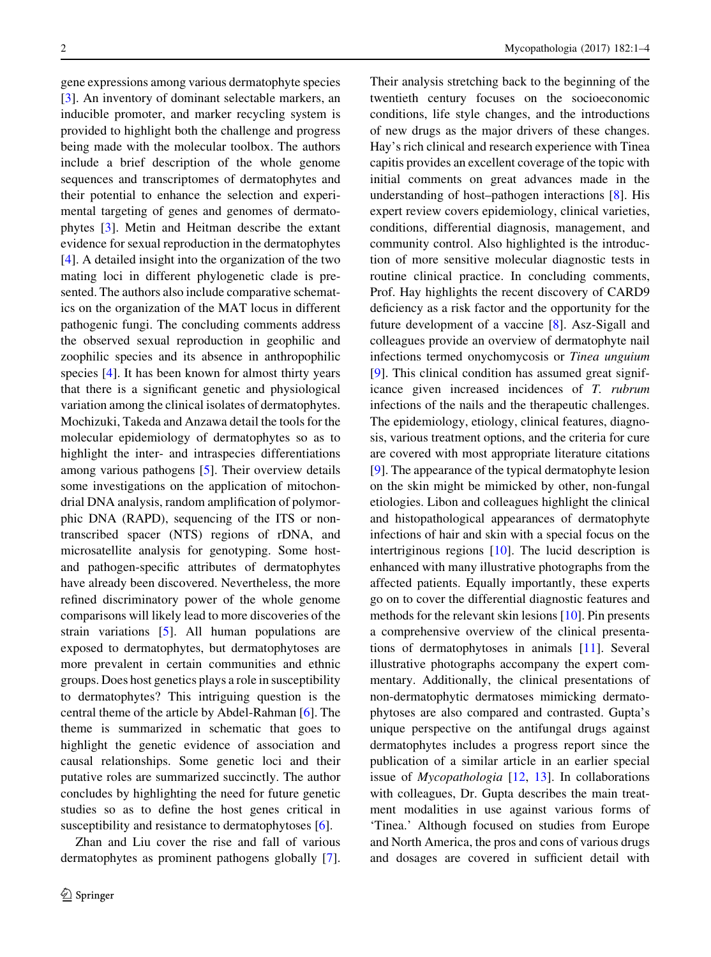gene expressions among various dermatophyte species [\[3](#page-3-0)]. An inventory of dominant selectable markers, an inducible promoter, and marker recycling system is provided to highlight both the challenge and progress being made with the molecular toolbox. The authors include a brief description of the whole genome sequences and transcriptomes of dermatophytes and their potential to enhance the selection and experimental targeting of genes and genomes of dermatophytes [[3\]](#page-3-0). Metin and Heitman describe the extant evidence for sexual reproduction in the dermatophytes [\[4](#page-3-0)]. A detailed insight into the organization of the two mating loci in different phylogenetic clade is presented. The authors also include comparative schematics on the organization of the MAT locus in different pathogenic fungi. The concluding comments address the observed sexual reproduction in geophilic and zoophilic species and its absence in anthropophilic species [[4\]](#page-3-0). It has been known for almost thirty years that there is a significant genetic and physiological variation among the clinical isolates of dermatophytes. Mochizuki, Takeda and Anzawa detail the tools for the molecular epidemiology of dermatophytes so as to highlight the inter- and intraspecies differentiations among various pathogens [[5\]](#page-3-0). Their overview details some investigations on the application of mitochondrial DNA analysis, random amplification of polymorphic DNA (RAPD), sequencing of the ITS or nontranscribed spacer (NTS) regions of rDNA, and microsatellite analysis for genotyping. Some hostand pathogen-specific attributes of dermatophytes have already been discovered. Nevertheless, the more refined discriminatory power of the whole genome comparisons will likely lead to more discoveries of the strain variations [\[5](#page-3-0)]. All human populations are exposed to dermatophytes, but dermatophytoses are more prevalent in certain communities and ethnic groups. Does host genetics plays a role in susceptibility to dermatophytes? This intriguing question is the central theme of the article by Abdel-Rahman [[6\]](#page-3-0). The theme is summarized in schematic that goes to highlight the genetic evidence of association and causal relationships. Some genetic loci and their putative roles are summarized succinctly. The author concludes by highlighting the need for future genetic studies so as to define the host genes critical in susceptibility and resistance to dermatophytoses [[6\]](#page-3-0).

Zhan and Liu cover the rise and fall of various dermatophytes as prominent pathogens globally [\[7](#page-3-0)].

Their analysis stretching back to the beginning of the twentieth century focuses on the socioeconomic conditions, life style changes, and the introductions of new drugs as the major drivers of these changes. Hay's rich clinical and research experience with Tinea capitis provides an excellent coverage of the topic with initial comments on great advances made in the understanding of host–pathogen interactions [\[8](#page-3-0)]. His expert review covers epidemiology, clinical varieties, conditions, differential diagnosis, management, and community control. Also highlighted is the introduction of more sensitive molecular diagnostic tests in routine clinical practice. In concluding comments, Prof. Hay highlights the recent discovery of CARD9 deficiency as a risk factor and the opportunity for the future development of a vaccine [[8\]](#page-3-0). Asz-Sigall and colleagues provide an overview of dermatophyte nail infections termed onychomycosis or Tinea unguium [\[9](#page-3-0)]. This clinical condition has assumed great significance given increased incidences of T. rubrum infections of the nails and the therapeutic challenges. The epidemiology, etiology, clinical features, diagnosis, various treatment options, and the criteria for cure are covered with most appropriate literature citations [\[9](#page-3-0)]. The appearance of the typical dermatophyte lesion on the skin might be mimicked by other, non-fungal etiologies. Libon and colleagues highlight the clinical and histopathological appearances of dermatophyte infections of hair and skin with a special focus on the intertriginous regions [\[10](#page-3-0)]. The lucid description is enhanced with many illustrative photographs from the affected patients. Equally importantly, these experts go on to cover the differential diagnostic features and methods for the relevant skin lesions [[10\]](#page-3-0). Pin presents a comprehensive overview of the clinical presentations of dermatophytoses in animals [\[11](#page-3-0)]. Several illustrative photographs accompany the expert commentary. Additionally, the clinical presentations of non-dermatophytic dermatoses mimicking dermatophytoses are also compared and contrasted. Gupta's unique perspective on the antifungal drugs against dermatophytes includes a progress report since the publication of a similar article in an earlier special issue of  $Mycopathologia$  [[12,](#page-3-0) [13](#page-3-0)]. In collaborations with colleagues, Dr. Gupta describes the main treatment modalities in use against various forms of 'Tinea.' Although focused on studies from Europe and North America, the pros and cons of various drugs and dosages are covered in sufficient detail with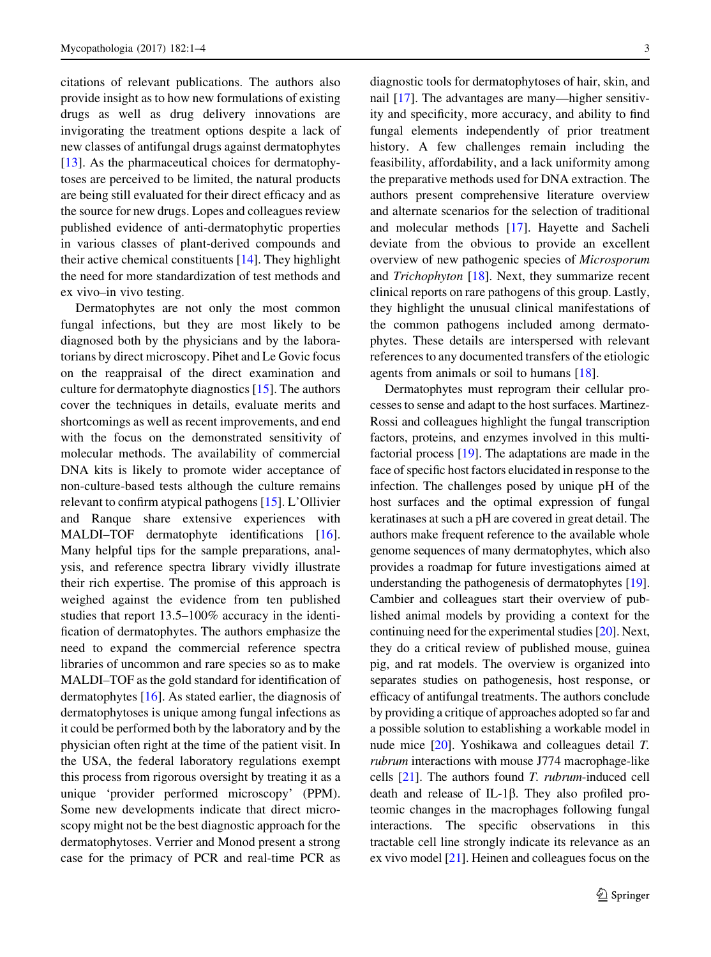citations of relevant publications. The authors also provide insight as to how new formulations of existing drugs as well as drug delivery innovations are invigorating the treatment options despite a lack of new classes of antifungal drugs against dermatophytes [\[13](#page-3-0)]. As the pharmaceutical choices for dermatophytoses are perceived to be limited, the natural products are being still evaluated for their direct efficacy and as the source for new drugs. Lopes and colleagues review published evidence of anti-dermatophytic properties in various classes of plant-derived compounds and their active chemical constituents [\[14](#page-3-0)]. They highlight the need for more standardization of test methods and ex vivo–in vivo testing.

Dermatophytes are not only the most common fungal infections, but they are most likely to be diagnosed both by the physicians and by the laboratorians by direct microscopy. Pihet and Le Govic focus on the reappraisal of the direct examination and culture for dermatophyte diagnostics [[15](#page-3-0)]. The authors cover the techniques in details, evaluate merits and shortcomings as well as recent improvements, and end with the focus on the demonstrated sensitivity of molecular methods. The availability of commercial DNA kits is likely to promote wider acceptance of non-culture-based tests although the culture remains relevant to confirm atypical pathogens [[15\]](#page-3-0). L'Ollivier and Ranque share extensive experiences with MALDI–TOF dermatophyte identifications [\[16](#page-3-0)]. Many helpful tips for the sample preparations, analysis, and reference spectra library vividly illustrate their rich expertise. The promise of this approach is weighed against the evidence from ten published studies that report 13.5–100% accuracy in the identification of dermatophytes. The authors emphasize the need to expand the commercial reference spectra libraries of uncommon and rare species so as to make MALDI–TOF as the gold standard for identification of dermatophytes [\[16](#page-3-0)]. As stated earlier, the diagnosis of dermatophytoses is unique among fungal infections as it could be performed both by the laboratory and by the physician often right at the time of the patient visit. In the USA, the federal laboratory regulations exempt this process from rigorous oversight by treating it as a unique 'provider performed microscopy' (PPM). Some new developments indicate that direct microscopy might not be the best diagnostic approach for the dermatophytoses. Verrier and Monod present a strong case for the primacy of PCR and real-time PCR as

diagnostic tools for dermatophytoses of hair, skin, and nail [\[17](#page-3-0)]. The advantages are many—higher sensitivity and specificity, more accuracy, and ability to find fungal elements independently of prior treatment history. A few challenges remain including the feasibility, affordability, and a lack uniformity among the preparative methods used for DNA extraction. The authors present comprehensive literature overview and alternate scenarios for the selection of traditional and molecular methods [\[17\]](#page-3-0). Hayette and Sacheli deviate from the obvious to provide an excellent overview of new pathogenic species of Microsporum and Trichophyton [\[18](#page-3-0)]. Next, they summarize recent clinical reports on rare pathogens of this group. Lastly, they highlight the unusual clinical manifestations of the common pathogens included among dermatophytes. These details are interspersed with relevant references to any documented transfers of the etiologic agents from animals or soil to humans [[18\]](#page-3-0).

Dermatophytes must reprogram their cellular processes to sense and adapt to the host surfaces. Martinez-Rossi and colleagues highlight the fungal transcription factors, proteins, and enzymes involved in this multifactorial process [\[19](#page-3-0)]. The adaptations are made in the face of specific host factors elucidated in response to the infection. The challenges posed by unique pH of the host surfaces and the optimal expression of fungal keratinases at such a pH are covered in great detail. The authors make frequent reference to the available whole genome sequences of many dermatophytes, which also provides a roadmap for future investigations aimed at understanding the pathogenesis of dermatophytes [[19\]](#page-3-0). Cambier and colleagues start their overview of published animal models by providing a context for the continuing need for the experimental studies [\[20](#page-3-0)]. Next, they do a critical review of published mouse, guinea pig, and rat models. The overview is organized into separates studies on pathogenesis, host response, or efficacy of antifungal treatments. The authors conclude by providing a critique of approaches adopted so far and a possible solution to establishing a workable model in nude mice [[20\]](#page-3-0). Yoshikawa and colleagues detail T. rubrum interactions with mouse J774 macrophage-like cells  $[21]$  $[21]$ . The authors found T. *rubrum*-induced cell death and release of IL-1 $\beta$ . They also profiled proteomic changes in the macrophages following fungal interactions. The specific observations in this tractable cell line strongly indicate its relevance as an ex vivo model [[21](#page-3-0)]. Heinen and colleagues focus on the